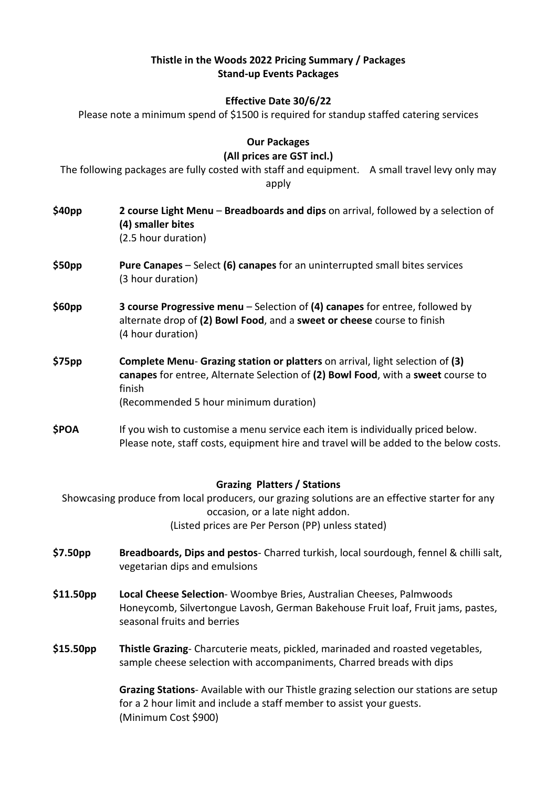#### **Thistle in the Woods 2022 Pricing Summary / Packages Stand-up Events Packages**

## **Effective Date 30/6/22**

Please note a minimum spend of \$1500 is required for standup staffed catering services

**Our Packages**

**(All prices are GST incl.)**

The following packages are fully costed with staff and equipment. A small travel levy only may apply

**\$40pp 2 course Light Menu** – **Breadboards and dips** on arrival, followed by a selection of **(4) smaller bites** (2.5 hour duration) **\$50pp Pure Canapes** – Select **(6) canapes** for an uninterrupted small bites services (3 hour duration) **\$60pp 3 course Progressive menu** – Selection of **(4) canapes** for entree, followed by alternate drop of **(2) Bowl Food**, and a **sweet or cheese** course to finish (4 hour duration) **\$75pp Complete Menu**- **Grazing station or platters** on arrival, light selection of **(3) canapes** for entree, Alternate Selection of **(2) Bowl Food**, with a **sweet** course to finish (Recommended 5 hour minimum duration) **\$POA** If you wish to customise a menu service each item is individually priced below. Please note, staff costs, equipment hire and travel will be added to the below costs. **Grazing Platters / Stations** Showcasing produce from local producers, our grazing solutions are an effective starter for any occasion, or a late night addon. (Listed prices are Per Person (PP) unless stated) **\$7.50pp Breadboards, Dips and pestos**- Charred turkish, local sourdough, fennel & chilli salt, vegetarian dips and emulsions **\$11.50pp Local Cheese Selection**- Woombye Bries, Australian Cheeses, Palmwoods Honeycomb, Silvertongue Lavosh, German Bakehouse Fruit loaf, Fruit jams, pastes, seasonal fruits and berries **\$15.50pp Thistle Grazing**- Charcuterie meats, pickled, marinaded and roasted vegetables, sample cheese selection with accompaniments, Charred breads with dips **Grazing Stations**- Available with our Thistle grazing selection our stations are setup for a 2 hour limit and include a staff member to assist your guests. (Minimum Cost \$900)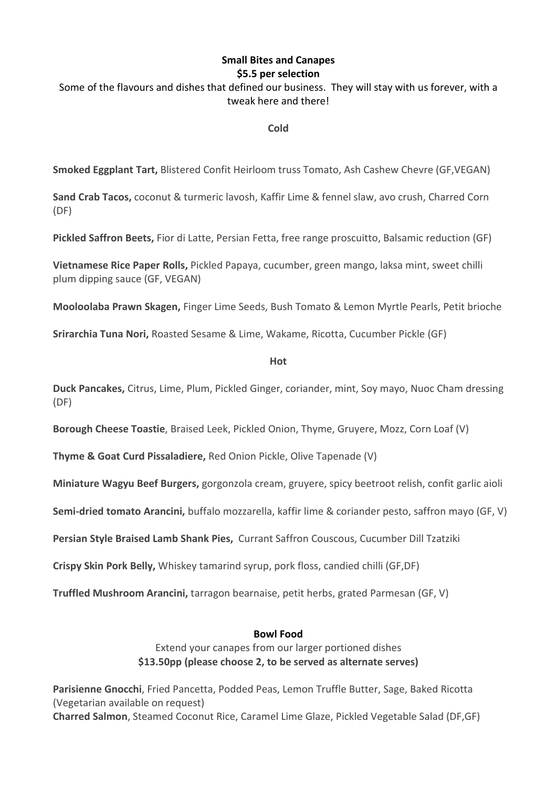### **Small Bites and Canapes \$5.5 per selection**

### Some of the flavours and dishes that defined our business. They will stay with us forever, with a tweak here and there!

**Cold**

**Smoked Eggplant Tart,** Blistered Confit Heirloom truss Tomato, Ash Cashew Chevre (GF,VEGAN)

**Sand Crab Tacos,** coconut & turmeric lavosh, Kaffir Lime & fennel slaw, avo crush, Charred Corn (DF)

**Pickled Saffron Beets,** Fior di Latte, Persian Fetta, free range proscuitto, Balsamic reduction (GF)

**Vietnamese Rice Paper Rolls,** Pickled Papaya, cucumber, green mango, laksa mint, sweet chilli plum dipping sauce (GF, VEGAN)

**Mooloolaba Prawn Skagen,** Finger Lime Seeds, Bush Tomato & Lemon Myrtle Pearls, Petit brioche

**Srirarchia Tuna Nori,** Roasted Sesame & Lime, Wakame, Ricotta, Cucumber Pickle (GF)

**Hot**

**Duck Pancakes,** Citrus, Lime, Plum, Pickled Ginger, coriander, mint, Soy mayo, Nuoc Cham dressing (DF)

**Borough Cheese Toastie**, Braised Leek, Pickled Onion, Thyme, Gruyere, Mozz, Corn Loaf (V)

**Thyme & Goat Curd Pissaladiere,** Red Onion Pickle, Olive Tapenade (V)

**Miniature Wagyu Beef Burgers,** gorgonzola cream, gruyere, spicy beetroot relish, confit garlic aioli

**Semi-dried tomato Arancini,** buffalo mozzarella, kaffir lime & coriander pesto, saffron mayo (GF, V)

**Persian Style Braised Lamb Shank Pies,** Currant Saffron Couscous, Cucumber Dill Tzatziki

**Crispy Skin Pork Belly,** Whiskey tamarind syrup, pork floss, candied chilli (GF,DF)

**Truffled Mushroom Arancini,** tarragon bearnaise, petit herbs, grated Parmesan (GF, V)

#### **Bowl Food**

Extend your canapes from our larger portioned dishes **\$13.50pp (please choose 2, to be served as alternate serves)**

**Parisienne Gnocchi**, Fried Pancetta, Podded Peas, Lemon Truffle Butter, Sage, Baked Ricotta (Vegetarian available on request) **Charred Salmon**, Steamed Coconut Rice, Caramel Lime Glaze, Pickled Vegetable Salad (DF,GF)